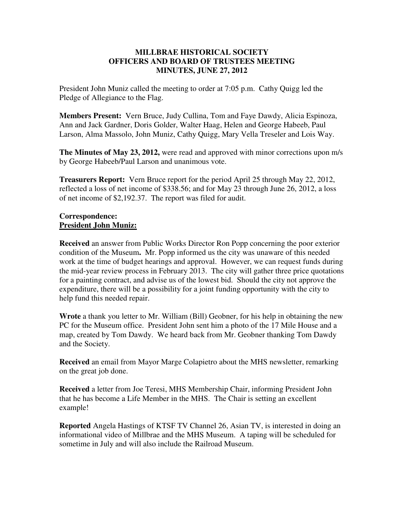### **MILLBRAE HISTORICAL SOCIETY OFFICERS AND BOARD OF TRUSTEES MEETING MINUTES, JUNE 27, 2012**

President John Muniz called the meeting to order at 7:05 p.m. Cathy Quigg led the Pledge of Allegiance to the Flag.

**Members Present:** Vern Bruce, Judy Cullina, Tom and Faye Dawdy, Alicia Espinoza, Ann and Jack Gardner, Doris Golder, Walter Haag, Helen and George Habeeb, Paul Larson, Alma Massolo, John Muniz, Cathy Quigg, Mary Vella Treseler and Lois Way.

**The Minutes of May 23, 2012,** were read and approved with minor corrections upon m/s by George Habeeb/Paul Larson and unanimous vote.

**Treasurers Report:** Vern Bruce report for the period April 25 through May 22, 2012, reflected a loss of net income of \$338.56; and for May 23 through June 26, 2012, a loss of net income of \$2,192.37. The report was filed for audit.

### **Correspondence: President John Muniz:**

**Received** an answer from Public Works Director Ron Popp concerning the poor exterior condition of the Museum**.** Mr. Popp informed us the city was unaware of this needed work at the time of budget hearings and approval. However, we can request funds during the mid-year review process in February 2013. The city will gather three price quotations for a painting contract, and advise us of the lowest bid. Should the city not approve the expenditure, there will be a possibility for a joint funding opportunity with the city to help fund this needed repair.

**Wrote** a thank you letter to Mr. William (Bill) Geobner, for his help in obtaining the new PC for the Museum office. President John sent him a photo of the 17 Mile House and a map, created by Tom Dawdy. We heard back from Mr. Geobner thanking Tom Dawdy and the Society.

**Received** an email from Mayor Marge Colapietro about the MHS newsletter, remarking on the great job done.

**Received** a letter from Joe Teresi, MHS Membership Chair, informing President John that he has become a Life Member in the MHS. The Chair is setting an excellent example!

**Reported** Angela Hastings of KTSF TV Channel 26, Asian TV, is interested in doing an informational video of Millbrae and the MHS Museum. A taping will be scheduled for sometime in July and will also include the Railroad Museum.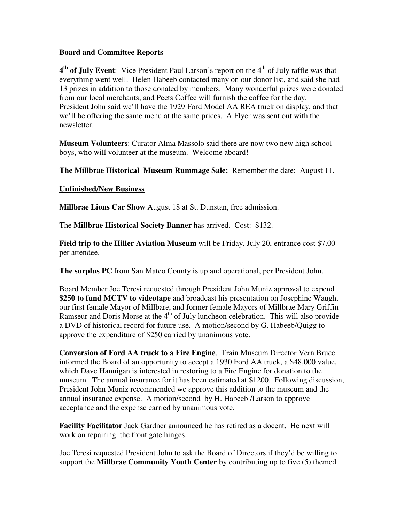## **Board and Committee Reports**

4<sup>th</sup> of July Event: Vice President Paul Larson's report on the 4<sup>th</sup> of July raffle was that everything went well. Helen Habeeb contacted many on our donor list, and said she had 13 prizes in addition to those donated by members. Many wonderful prizes were donated from our local merchants, and Peets Coffee will furnish the coffee for the day. President John said we'll have the 1929 Ford Model AA REA truck on display, and that we'll be offering the same menu at the same prices. A Flyer was sent out with the newsletter.

**Museum Volunteers**: Curator Alma Massolo said there are now two new high school boys, who will volunteer at the museum. Welcome aboard!

**The Millbrae Historical Museum Rummage Sale:** Remember the date: August 11.

## **Unfinished/New Business**

**Millbrae Lions Car Show** August 18 at St. Dunstan, free admission.

The **Millbrae Historical Society Banner** has arrived. Cost: \$132.

**Field trip to the Hiller Aviation Museum** will be Friday, July 20, entrance cost \$7.00 per attendee.

**The surplus PC** from San Mateo County is up and operational, per President John.

Board Member Joe Teresi requested through President John Muniz approval to expend **\$250 to fund MCTV to videotape** and broadcast his presentation on Josephine Waugh, our first female Mayor of Millbare, and former female Mayors of Millbrae Mary Griffin Ramseur and Doris Morse at the 4<sup>th</sup> of July luncheon celebration. This will also provide a DVD of historical record for future use. A motion/second by G. Habeeb/Quigg to approve the expenditure of \$250 carried by unanimous vote.

**Conversion of Ford AA truck to a Fire Engine**. Train Museum Director Vern Bruce informed the Board of an opportunity to accept a 1930 Ford AA truck, a \$48,000 value, which Dave Hannigan is interested in restoring to a Fire Engine for donation to the museum. The annual insurance for it has been estimated at \$1200. Following discussion, President John Muniz recommended we approve this addition to the museum and the annual insurance expense. A motion/second by H. Habeeb /Larson to approve acceptance and the expense carried by unanimous vote.

**Facility Facilitator** Jack Gardner announced he has retired as a docent. He next will work on repairing the front gate hinges.

Joe Teresi requested President John to ask the Board of Directors if they'd be willing to support the **Millbrae Community Youth Center** by contributing up to five (5) themed